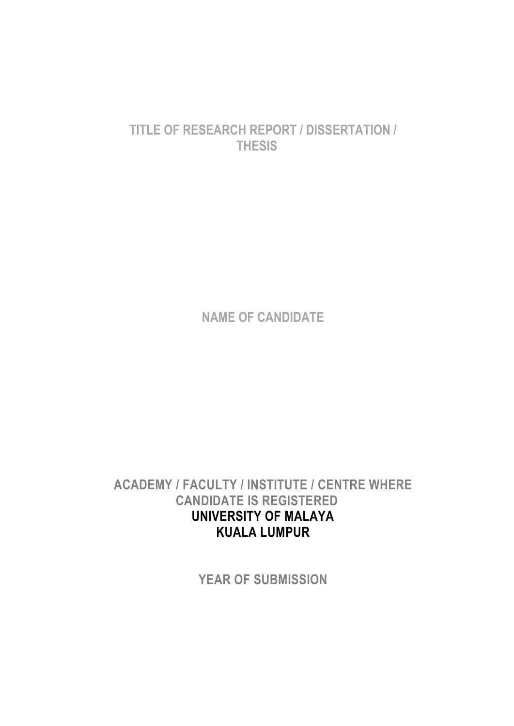# **TITLE OF RESEARCH REPORT / DISSERTATION / THESIS**

**NAME OF CANDIDATE** 

**ACADEMY / FACULTY / INSTITUTE / CENTRE WHERE CANDIDATE IS REGISTERED UNIVERSITY OF MALAYA KUALA LUMPUR**

**YEAR OF SUBMISSION**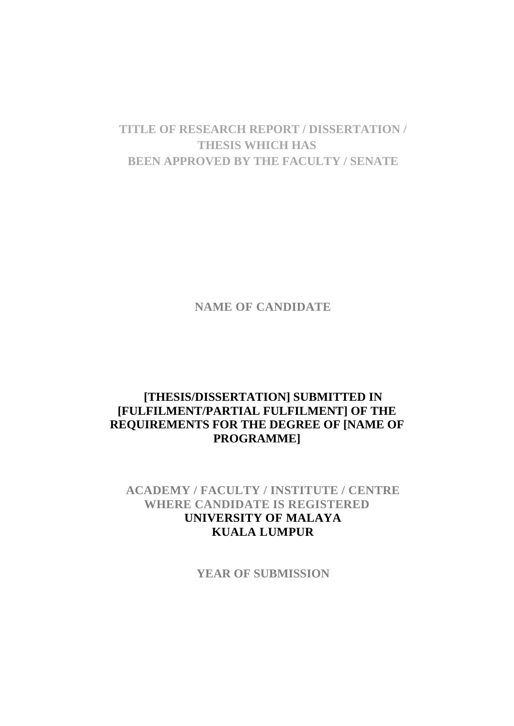# **TITLE OF RESEARCH REPORT / DISSERTATION / THESIS WHICH HAS BEEN APPROVED BY THE FACULTY / SENATE**

**NAME OF CANDIDATE**

## **[THESIS/DISSERTATION] SUBMITTED IN [FULFILMENT/PARTIAL FULFILMENT] OF THE REQUIREMENTS FOR THE DEGREE OF [NAME OF PROGRAMME]**

## **ACADEMY / FACULTY / INSTITUTE / CENTRE WHERE CANDIDATE IS REGISTERED UNIVERSITY OF MALAYA KUALA LUMPUR**

**YEAR OF SUBMISSION**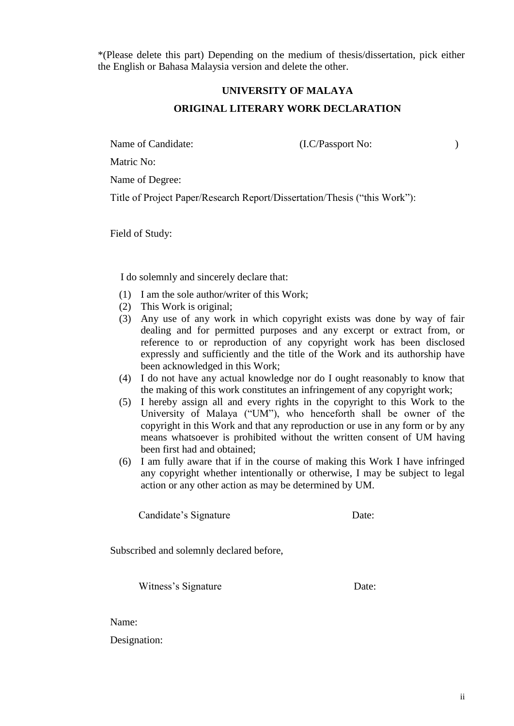\*(Please delete this part) Depending on the medium of thesis/dissertation, pick either the English or Bahasa Malaysia version and delete the other.

# **UNIVERSITY OF MALAYA ORIGINAL LITERARY WORK DECLARATION**

Name of Candidate: (I.C/Passport No: )

Matric No:

Name of Degree:

Title of Project Paper/Research Report/Dissertation/Thesis ("this Work"):

Field of Study:

I do solemnly and sincerely declare that:

- (1) I am the sole author/writer of this Work;
- (2) This Work is original;
- (3) Any use of any work in which copyright exists was done by way of fair dealing and for permitted purposes and any excerpt or extract from, or reference to or reproduction of any copyright work has been disclosed expressly and sufficiently and the title of the Work and its authorship have been acknowledged in this Work;
- (4) I do not have any actual knowledge nor do I ought reasonably to know that the making of this work constitutes an infringement of any copyright work;
- (5) I hereby assign all and every rights in the copyright to this Work to the University of Malaya ("UM"), who henceforth shall be owner of the copyright in this Work and that any reproduction or use in any form or by any means whatsoever is prohibited without the written consent of UM having been first had and obtained;
- (6) I am fully aware that if in the course of making this Work I have infringed any copyright whether intentionally or otherwise, I may be subject to legal action or any other action as may be determined by UM.

Candidate's Signature Date:

Subscribed and solemnly declared before,

Witness's Signature Date:

Name:

Designation: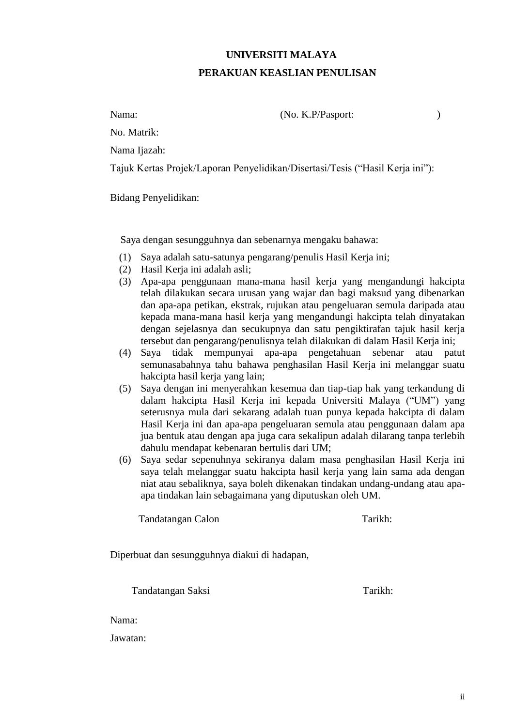# **UNIVERSITI MALAYA PERAKUAN KEASLIAN PENULISAN**

Nama: (No. K.P/Pasport: )

No. Matrik:

Nama Ijazah:

Tajuk Kertas Projek/Laporan Penyelidikan/Disertasi/Tesis ("Hasil Kerja ini"):

Bidang Penyelidikan:

Saya dengan sesungguhnya dan sebenarnya mengaku bahawa:

- (1) Saya adalah satu-satunya pengarang/penulis Hasil Kerja ini;
- (2) Hasil Kerja ini adalah asli;
- (3) Apa-apa penggunaan mana-mana hasil kerja yang mengandungi hakcipta telah dilakukan secara urusan yang wajar dan bagi maksud yang dibenarkan dan apa-apa petikan, ekstrak, rujukan atau pengeluaran semula daripada atau kepada mana-mana hasil kerja yang mengandungi hakcipta telah dinyatakan dengan sejelasnya dan secukupnya dan satu pengiktirafan tajuk hasil kerja tersebut dan pengarang/penulisnya telah dilakukan di dalam Hasil Kerja ini;
- (4) Saya tidak mempunyai apa-apa pengetahuan sebenar atau patut semunasabahnya tahu bahawa penghasilan Hasil Kerja ini melanggar suatu hakcipta hasil kerja yang lain;
- (5) Saya dengan ini menyerahkan kesemua dan tiap-tiap hak yang terkandung di dalam hakcipta Hasil Kerja ini kepada Universiti Malaya ("UM") yang seterusnya mula dari sekarang adalah tuan punya kepada hakcipta di dalam Hasil Kerja ini dan apa-apa pengeluaran semula atau penggunaan dalam apa jua bentuk atau dengan apa juga cara sekalipun adalah dilarang tanpa terlebih dahulu mendapat kebenaran bertulis dari UM;
- (6) Saya sedar sepenuhnya sekiranya dalam masa penghasilan Hasil Kerja ini saya telah melanggar suatu hakcipta hasil kerja yang lain sama ada dengan niat atau sebaliknya, saya boleh dikenakan tindakan undang-undang atau apaapa tindakan lain sebagaimana yang diputuskan oleh UM.

Tandatangan Calon Tarikh:

Diperbuat dan sesungguhnya diakui di hadapan,

Tandatangan Saksi Tarikh:

Nama:

Jawatan: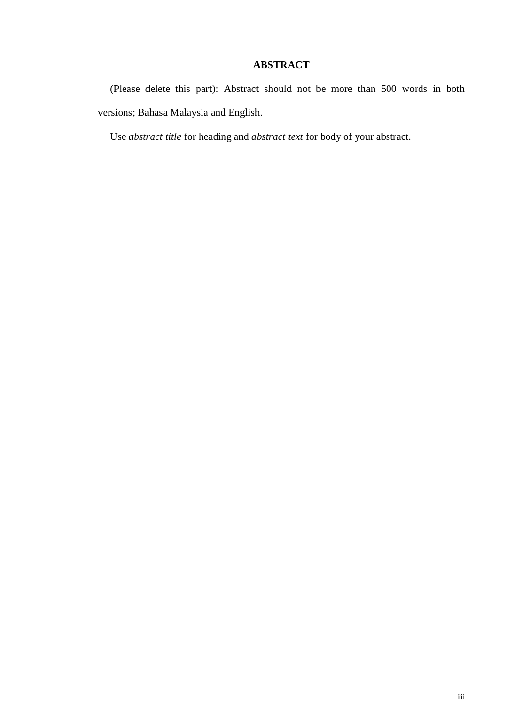## **ABSTRACT**

<span id="page-4-0"></span>(Please delete this part): Abstract should not be more than 500 words in both versions; Bahasa Malaysia and English.

Use *abstract title* for heading and *abstract text* for body of your abstract.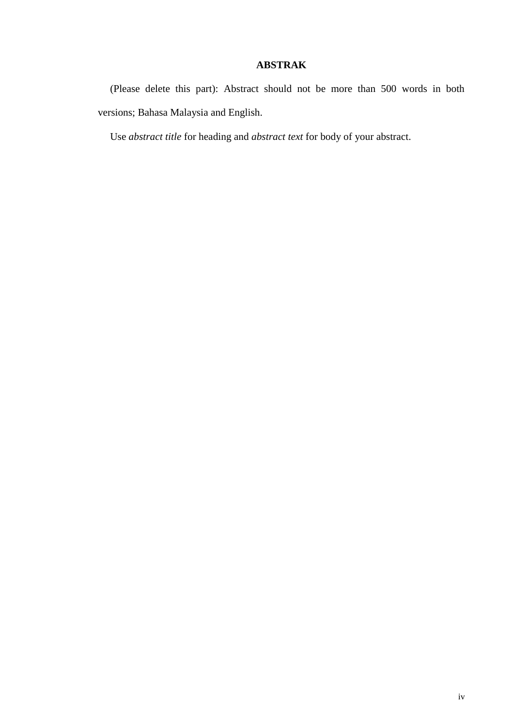## **ABSTRAK**

<span id="page-5-0"></span>(Please delete this part): Abstract should not be more than 500 words in both versions; Bahasa Malaysia and English.

Use *abstract title* for heading and *abstract text* for body of your abstract.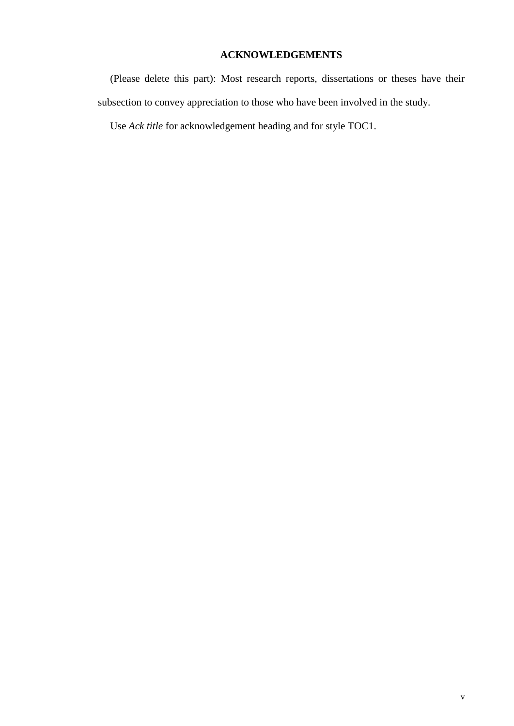# **ACKNOWLEDGEMENTS**

<span id="page-6-0"></span>(Please delete this part): Most research reports, dissertations or theses have their subsection to convey appreciation to those who have been involved in the study.

Use *Ack title* for acknowledgement heading and for style TOC1.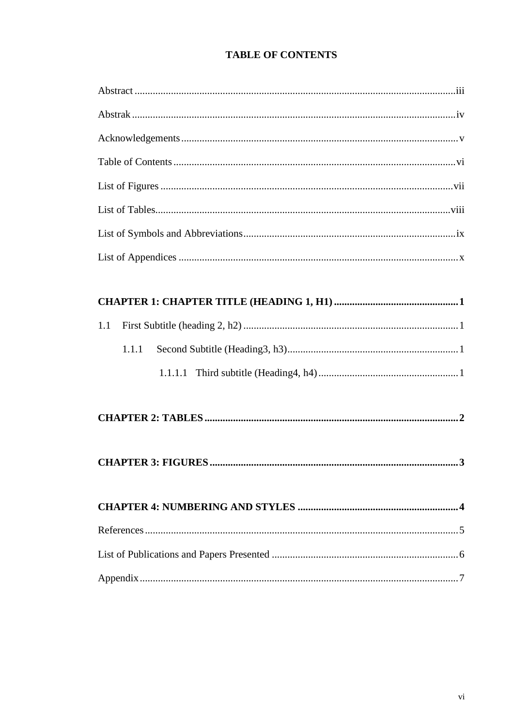# **TABLE OF CONTENTS**

<span id="page-7-0"></span>

| 1.1   |
|-------|
| 1.1.1 |
|       |
|       |
|       |
|       |
|       |
|       |
|       |
|       |
|       |
|       |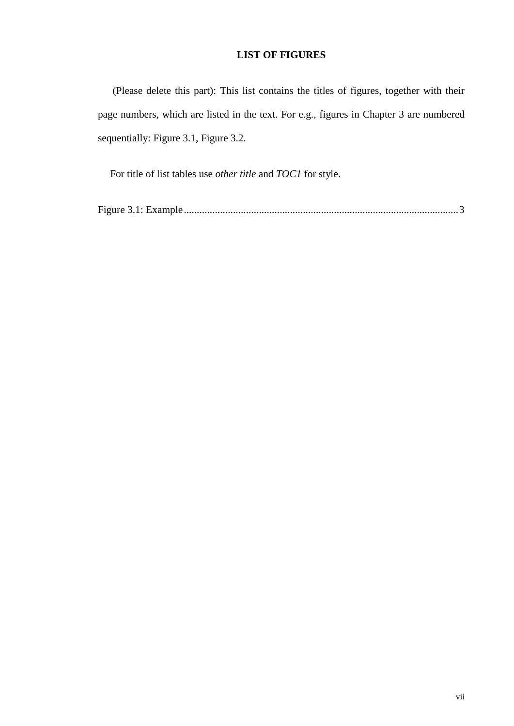### **LIST OF FIGURES**

<span id="page-8-0"></span>(Please delete this part): This list contains the titles of figures, together with their page numbers, which are listed in the text. For e.g., figures in Chapter 3 are numbered sequentially: Figure 3.1, Figure 3.2.

For title of list tables use *other title* and *TOC1* for style.

[Figure 3.1: Example..........................................................................................................3](#page-14-1)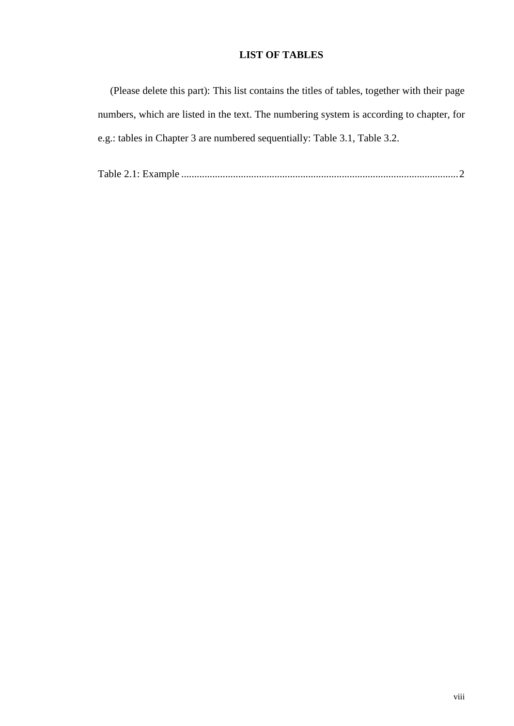## **LIST OF TABLES**

<span id="page-9-0"></span>

| (Please delete this part): This list contains the titles of tables, together with their page |
|----------------------------------------------------------------------------------------------|
| numbers, which are listed in the text. The numbering system is according to chapter, for     |
| e.g.: tables in Chapter 3 are numbered sequentially: Table 3.1, Table 3.2.                   |

Table 2.1: Example [...........................................................................................................2](#page-13-1)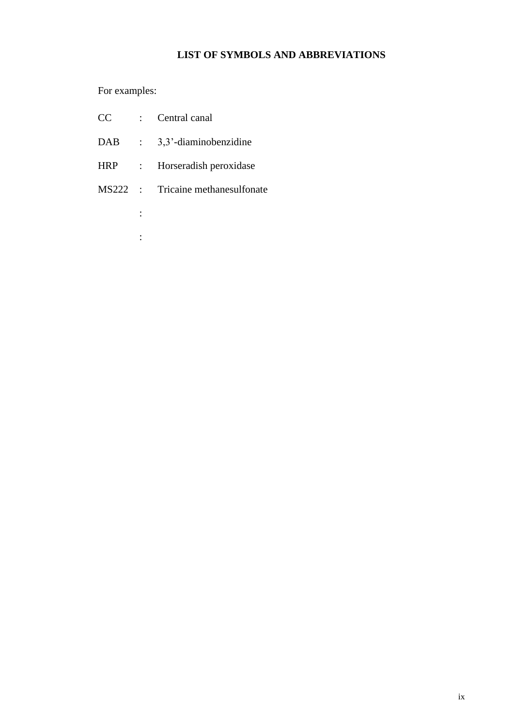## **LIST OF SYMBOLS AND ABBREVIATIONS**

<span id="page-10-0"></span>For examples:

| CC | Central canal |
|----|---------------|
|----|---------------|

:

:

- DAB : 3,3'-diaminobenzidine
- HRP : Horseradish peroxidase
- MS222 : Tricaine methanesulfonate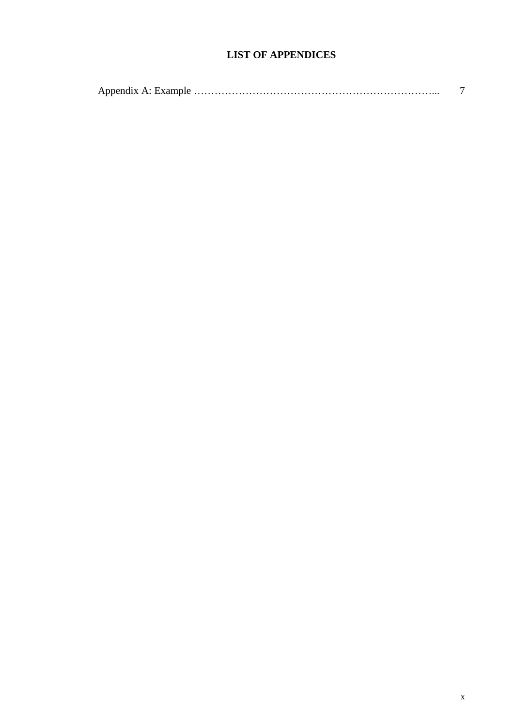## **LIST OF APPENDICES**

<span id="page-11-0"></span>

|--|--|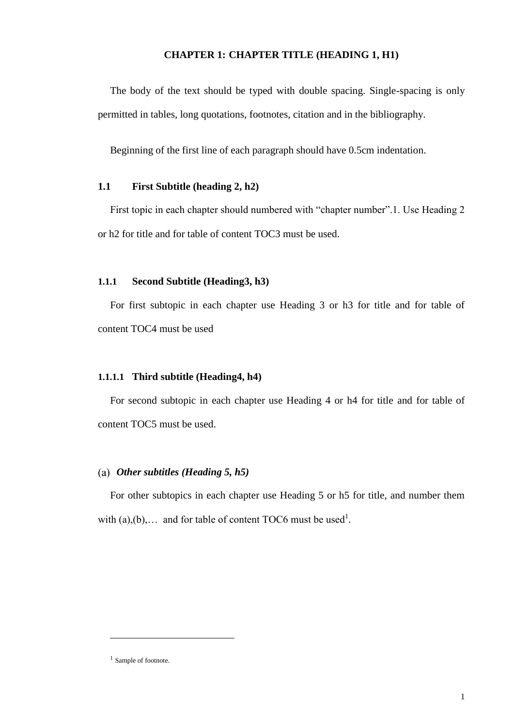#### **CHAPTER 1: CHAPTER TITLE (HEADING 1, H1)**

<span id="page-12-0"></span>The body of the text should be typed with double spacing. Single-spacing is only permitted in tables, long quotations, footnotes, citation and in the bibliography.

Beginning of the first line of each paragraph should have 0.5cm indentation.

#### <span id="page-12-1"></span>**1.1 First Subtitle (heading 2, h2)**

First topic in each chapter should numbered with "chapter number".1. Use Heading 2 or h2 for title and for table of content TOC3 must be used.

#### <span id="page-12-2"></span>**1.1.1 Second Subtitle (Heading3, h3)**

For first subtopic in each chapter use Heading 3 or h3 for title and for table of content TOC4 must be used

#### <span id="page-12-3"></span>**1.1.1.1 Third subtitle (Heading4, h4)**

For second subtopic in each chapter use Heading 4 or h4 for title and for table of content TOC5 must be used.

#### *Other subtitles (Heading 5, h5)*

For other subtopics in each chapter use Heading 5 or h5 for title, and number them with  $(a),(b),...$  and for table of content TOC6 must be used<sup>1</sup>.

<u>.</u>

<sup>&</sup>lt;sup>1</sup> Sample of footnote.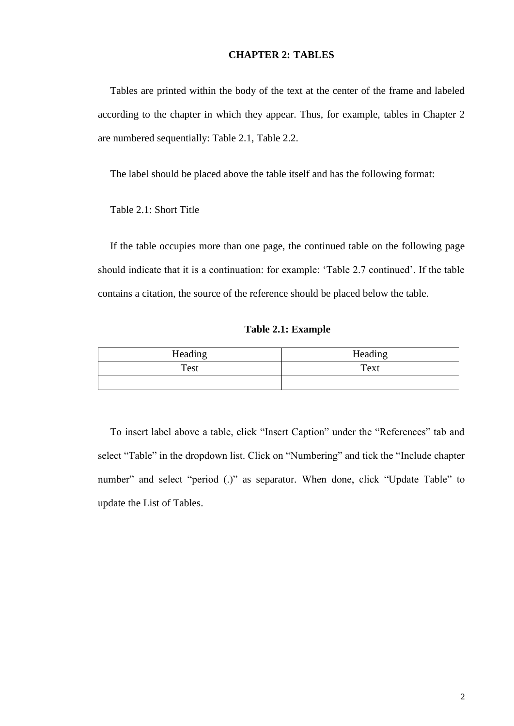#### **CHAPTER 2: TABLES**

<span id="page-13-0"></span>Tables are printed within the body of the text at the center of the frame and labeled according to the chapter in which they appear. Thus, for example, tables in Chapter 2 are numbered sequentially: Table 2.1, Table 2.2.

The label should be placed above the table itself and has the following format:

Table 2.1: Short Title

If the table occupies more than one page, the continued table on the following page should indicate that it is a continuation: for example: 'Table 2.7 continued'. If the table contains a citation, the source of the reference should be placed below the table.

**Table 2.1: Example**

<span id="page-13-1"></span>

| Heading | Heading |
|---------|---------|
| Test    | Text    |
|         |         |

To insert label above a table, click "Insert Caption" under the "References" tab and select "Table" in the dropdown list. Click on "Numbering" and tick the "Include chapter number" and select "period (.)" as separator. When done, click "Update Table" to update the List of Tables.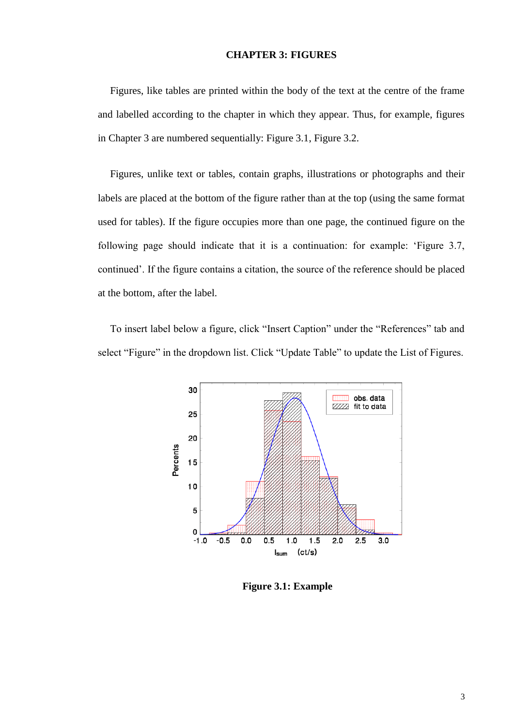#### **CHAPTER 3: FIGURES**

<span id="page-14-0"></span>Figures, like tables are printed within the body of the text at the centre of the frame and labelled according to the chapter in which they appear. Thus, for example, figures in Chapter 3 are numbered sequentially: Figure 3.1, Figure 3.2.

Figures, unlike text or tables, contain graphs, illustrations or photographs and their labels are placed at the bottom of the figure rather than at the top (using the same format used for tables). If the figure occupies more than one page, the continued figure on the following page should indicate that it is a continuation: for example: 'Figure 3.7, continued'. If the figure contains a citation, the source of the reference should be placed at the bottom, after the label.

To insert label below a figure, click "Insert Caption" under the "References" tab and select "Figure" in the dropdown list. Click "Update Table" to update the List of Figures.



<span id="page-14-1"></span>**Figure 3.1: Example**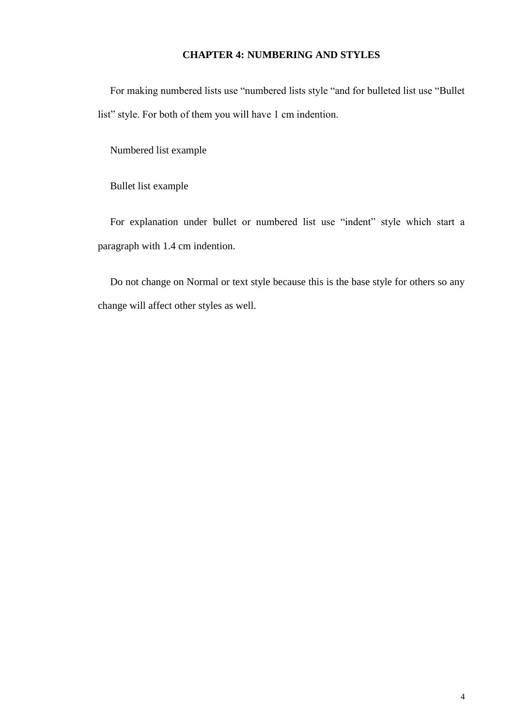### **CHAPTER 4: NUMBERING AND STYLES**

<span id="page-15-0"></span>For making numbered lists use "numbered lists style "and for bulleted list use "Bullet list" style. For both of them you will have 1 cm indention.

Numbered list example

Bullet list example

For explanation under bullet or numbered list use "indent" style which start a paragraph with 1.4 cm indention.

Do not change on Normal or text style because this is the base style for others so any change will affect other styles as well.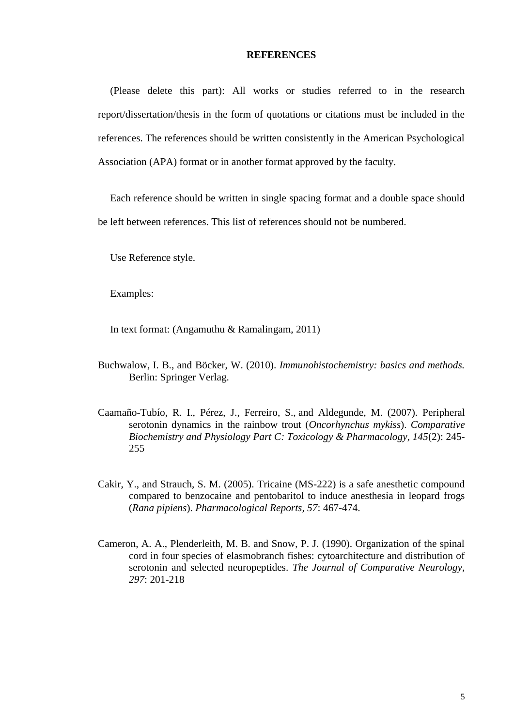#### **REFERENCES**

<span id="page-16-0"></span>(Please delete this part): All works or studies referred to in the research report/dissertation/thesis in the form of quotations or citations must be included in the references. The references should be written consistently in the American Psychological Association (APA) format or in another format approved by the faculty.

Each reference should be written in single spacing format and a double space should be left between references. This list of references should not be numbered.

Use Reference style.

Examples:

In text format: (Angamuthu & Ramalingam, 2011)

- Buchwalow, I. B., and Böcker, W. (2010). *Immunohistochemistry: basics and methods.* Berlin: Springer Verlag.
- Caamaño-Tubío, R. I., Pérez, J., Ferreiro, S., and Aldegunde, M. (2007). Peripheral serotonin dynamics in the rainbow trout (*Oncorhynchus mykiss*). *Comparative Biochemistry and Physiology Part C: Toxicology & Pharmacology, 145*(2): 245- 255
- Cakir, Y., and Strauch, S. M. (2005). Tricaine (MS-222) is a safe anesthetic compound compared to benzocaine and pentobaritol to induce anesthesia in leopard frogs (*Rana pipiens*). *Pharmacological Reports, 57*: 467-474.
- Cameron, A. A., Plenderleith, M. B. and Snow, P. J. (1990). Organization of the spinal cord in four species of elasmobranch fishes: cytoarchitecture and distribution of serotonin and selected neuropeptides. *The Journal of Comparative Neurology, 297*: 201-218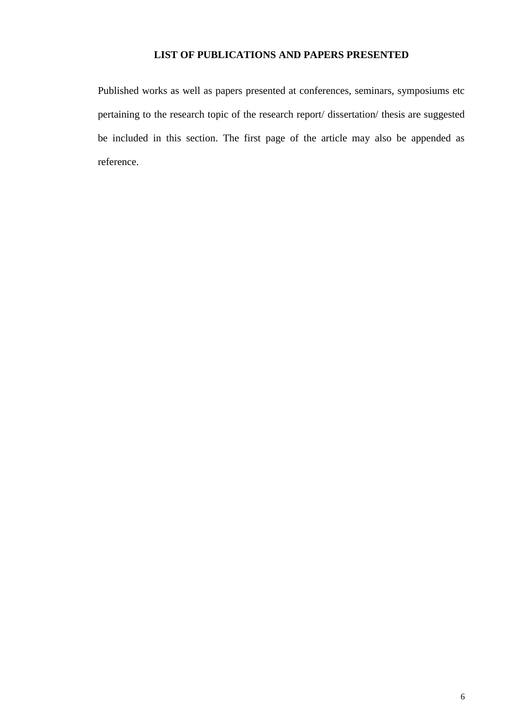### **LIST OF PUBLICATIONS AND PAPERS PRESENTED**

<span id="page-17-0"></span>Published works as well as papers presented at conferences, seminars, symposiums etc pertaining to the research topic of the research report/ dissertation/ thesis are suggested be included in this section. The first page of the article may also be appended as reference.